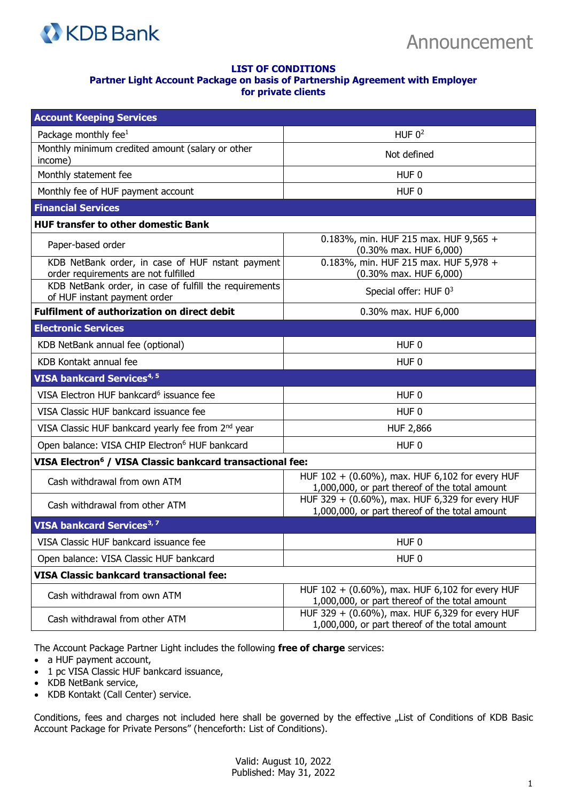

## **LIST OF CONDITIONS Partner Light Account Package on basis of Partnership Agreement with Employer for private clients**

| <b>Account Keeping Services</b>                                                          |                                                                                                   |
|------------------------------------------------------------------------------------------|---------------------------------------------------------------------------------------------------|
| Package monthly fee $1$                                                                  | HUF $02$                                                                                          |
| Monthly minimum credited amount (salary or other<br>income)                              | Not defined                                                                                       |
| Monthly statement fee                                                                    | HUF <sub>0</sub>                                                                                  |
| Monthly fee of HUF payment account                                                       | HUF <sub>0</sub>                                                                                  |
| <b>Financial Services</b>                                                                |                                                                                                   |
| <b>HUF transfer to other domestic Bank</b>                                               |                                                                                                   |
| Paper-based order                                                                        | 0.183%, min. HUF 215 max. HUF 9,565 +<br>(0.30% max. HUF 6,000)                                   |
| KDB NetBank order, in case of HUF nstant payment<br>order requirements are not fulfilled | 0.183%, min. HUF 215 max. HUF 5,978 +<br>(0.30% max. HUF 6,000)                                   |
| KDB NetBank order, in case of fulfill the requirements<br>of HUF instant payment order   | Special offer: HUF 03                                                                             |
| <b>Fulfilment of authorization on direct debit</b>                                       | 0.30% max. HUF 6,000                                                                              |
| <b>Electronic Services</b>                                                               |                                                                                                   |
| KDB NetBank annual fee (optional)                                                        | HUF <sub>0</sub>                                                                                  |
| KDB Kontakt annual fee                                                                   | HUF 0                                                                                             |
| VISA bankcard Services <sup>4, 5</sup>                                                   |                                                                                                   |
| VISA Electron HUF bankcard <sup>6</sup> issuance fee                                     | HUF <sub>0</sub>                                                                                  |
| VISA Classic HUF bankcard issuance fee                                                   | HUF 0                                                                                             |
| VISA Classic HUF bankcard yearly fee from 2 <sup>nd</sup> year                           | <b>HUF 2,866</b>                                                                                  |
| Open balance: VISA CHIP Electron <sup>6</sup> HUF bankcard                               | HUF <sub>0</sub>                                                                                  |
| VISA Electron <sup>6</sup> / VISA Classic bankcard transactional fee:                    |                                                                                                   |
| Cash withdrawal from own ATM                                                             | HUF 102 + (0.60%), max. HUF 6,102 for every HUF<br>1,000,000, or part thereof of the total amount |
| Cash withdrawal from other ATM                                                           | HUF 329 + (0.60%), max. HUF 6,329 for every HUF<br>1,000,000, or part thereof of the total amount |
| VISA bankcard Services <sup>3, 7</sup>                                                   |                                                                                                   |
| VISA Classic HUF bankcard issuance fee                                                   | HUF <sub>0</sub>                                                                                  |
| Open balance: VISA Classic HUF bankcard                                                  | HUF <sub>0</sub>                                                                                  |
| <b>VISA Classic bankcard transactional fee:</b>                                          |                                                                                                   |
| Cash withdrawal from own ATM                                                             | HUF 102 + (0.60%), max. HUF 6,102 for every HUF<br>1,000,000, or part thereof of the total amount |
| Cash withdrawal from other ATM                                                           | HUF 329 + (0.60%), max. HUF 6,329 for every HUF<br>1,000,000, or part thereof of the total amount |

The Account Package Partner Light includes the following **free of charge** services:

- a HUF payment account,
- 1 pc VISA Classic HUF bankcard issuance,
- KDB NetBank service,
- KDB Kontakt (Call Center) service.

Conditions, fees and charges not included here shall be governed by the effective "List of Conditions of KDB Basic Account Package for Private Persons" (henceforth: List of Conditions).